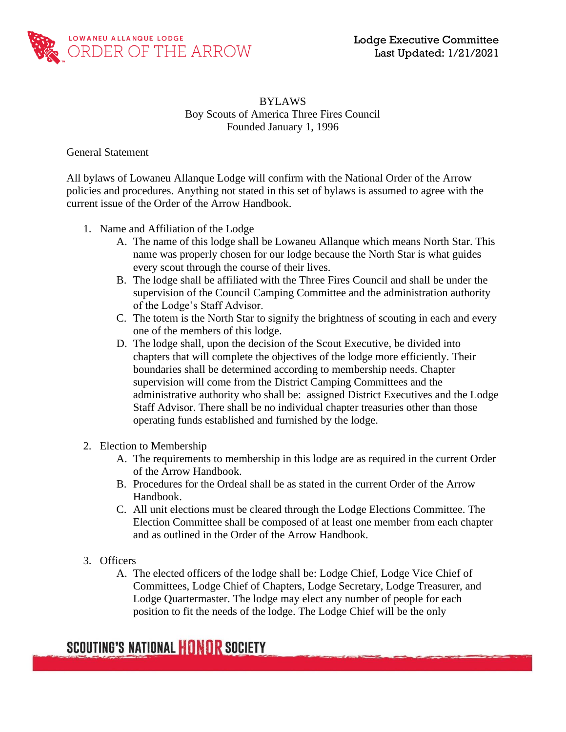

### BYLAWS Boy Scouts of America Three Fires Council Founded January 1, 1996

General Statement

All bylaws of Lowaneu Allanque Lodge will confirm with the National Order of the Arrow policies and procedures. Anything not stated in this set of bylaws is assumed to agree with the current issue of the Order of the Arrow Handbook.

- 1. Name and Affiliation of the Lodge
	- A. The name of this lodge shall be Lowaneu Allanque which means North Star. This name was properly chosen for our lodge because the North Star is what guides every scout through the course of their lives.
	- B. The lodge shall be affiliated with the Three Fires Council and shall be under the supervision of the Council Camping Committee and the administration authority of the Lodge's Staff Advisor.
	- C. The totem is the North Star to signify the brightness of scouting in each and every one of the members of this lodge.
	- D. The lodge shall, upon the decision of the Scout Executive, be divided into chapters that will complete the objectives of the lodge more efficiently. Their boundaries shall be determined according to membership needs. Chapter supervision will come from the District Camping Committees and the administrative authority who shall be: assigned District Executives and the Lodge Staff Advisor. There shall be no individual chapter treasuries other than those operating funds established and furnished by the lodge.
- 2. Election to Membership
	- A. The requirements to membership in this lodge are as required in the current Order of the Arrow Handbook.
	- B. Procedures for the Ordeal shall be as stated in the current Order of the Arrow Handbook.
	- C. All unit elections must be cleared through the Lodge Elections Committee. The Election Committee shall be composed of at least one member from each chapter and as outlined in the Order of the Arrow Handbook.
- 3. Officers
	- A. The elected officers of the lodge shall be: Lodge Chief, Lodge Vice Chief of Committees, Lodge Chief of Chapters, Lodge Secretary, Lodge Treasurer, and Lodge Quartermaster. The lodge may elect any number of people for each position to fit the needs of the lodge. The Lodge Chief will be the only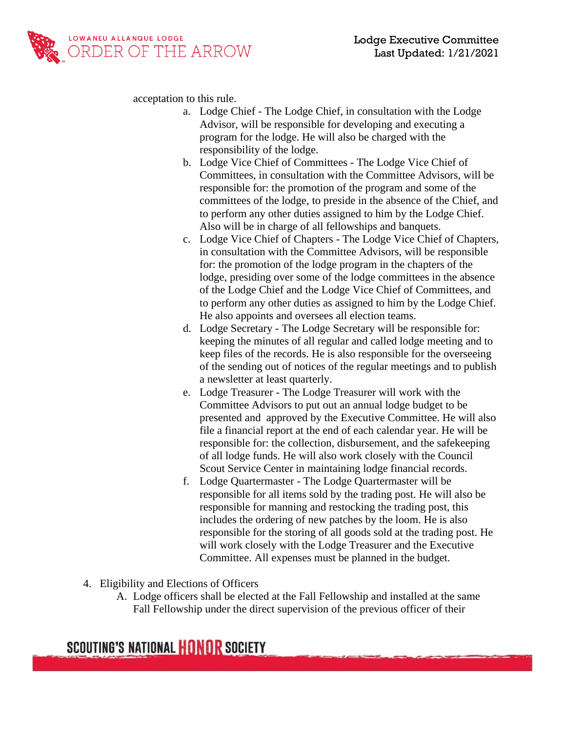

acceptation to this rule.

- a. Lodge Chief The Lodge Chief, in consultation with the Lodge Advisor, will be responsible for developing and executing a program for the lodge. He will also be charged with the responsibility of the lodge.
- b. Lodge Vice Chief of Committees The Lodge Vice Chief of Committees, in consultation with the Committee Advisors, will be responsible for: the promotion of the program and some of the committees of the lodge, to preside in the absence of the Chief, and to perform any other duties assigned to him by the Lodge Chief. Also will be in charge of all fellowships and banquets.
- c. Lodge Vice Chief of Chapters The Lodge Vice Chief of Chapters, in consultation with the Committee Advisors, will be responsible for: the promotion of the lodge program in the chapters of the lodge, presiding over some of the lodge committees in the absence of the Lodge Chief and the Lodge Vice Chief of Committees, and to perform any other duties as assigned to him by the Lodge Chief. He also appoints and oversees all election teams.
- d. Lodge Secretary The Lodge Secretary will be responsible for: keeping the minutes of all regular and called lodge meeting and to keep files of the records. He is also responsible for the overseeing of the sending out of notices of the regular meetings and to publish a newsletter at least quarterly.
- e. Lodge Treasurer The Lodge Treasurer will work with the Committee Advisors to put out an annual lodge budget to be presented and approved by the Executive Committee. He will also file a financial report at the end of each calendar year. He will be responsible for: the collection, disbursement, and the safekeeping of all lodge funds. He will also work closely with the Council Scout Service Center in maintaining lodge financial records.
- f. Lodge Quartermaster The Lodge Quartermaster will be responsible for all items sold by the trading post. He will also be responsible for manning and restocking the trading post, this includes the ordering of new patches by the loom. He is also responsible for the storing of all goods sold at the trading post. He will work closely with the Lodge Treasurer and the Executive Committee. All expenses must be planned in the budget.
- 4. Eligibility and Elections of Officers
	- A. Lodge officers shall be elected at the Fall Fellowship and installed at the same Fall Fellowship under the direct supervision of the previous officer of their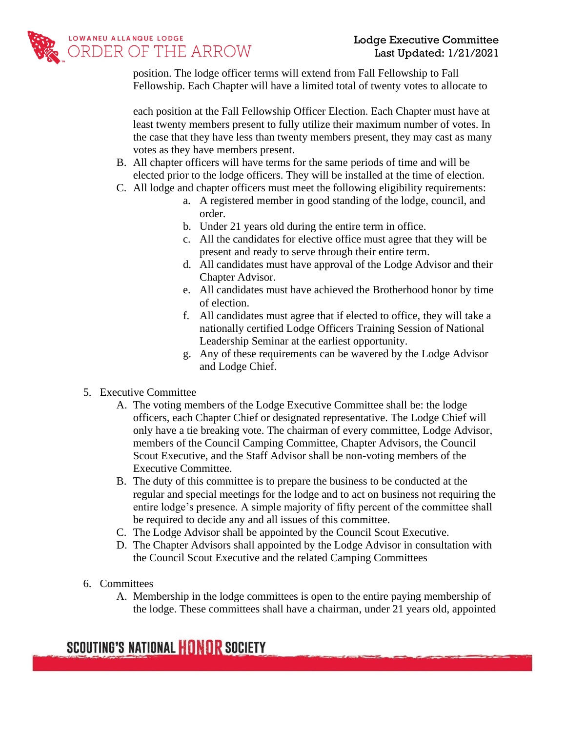

position. The lodge officer terms will extend from Fall Fellowship to Fall Fellowship. Each Chapter will have a limited total of twenty votes to allocate to

each position at the Fall Fellowship Officer Election. Each Chapter must have at least twenty members present to fully utilize their maximum number of votes. In the case that they have less than twenty members present, they may cast as many votes as they have members present.

- B. All chapter officers will have terms for the same periods of time and will be elected prior to the lodge officers. They will be installed at the time of election.
- C. All lodge and chapter officers must meet the following eligibility requirements:
	- a. A registered member in good standing of the lodge, council, and order.
	- b. Under 21 years old during the entire term in office.
	- c. All the candidates for elective office must agree that they will be present and ready to serve through their entire term.
	- d. All candidates must have approval of the Lodge Advisor and their Chapter Advisor.
	- e. All candidates must have achieved the Brotherhood honor by time of election.
	- f. All candidates must agree that if elected to office, they will take a nationally certified Lodge Officers Training Session of National Leadership Seminar at the earliest opportunity.
	- g. Any of these requirements can be wavered by the Lodge Advisor and Lodge Chief.
- 5. Executive Committee
	- A. The voting members of the Lodge Executive Committee shall be: the lodge officers, each Chapter Chief or designated representative. The Lodge Chief will only have a tie breaking vote. The chairman of every committee, Lodge Advisor, members of the Council Camping Committee, Chapter Advisors, the Council Scout Executive, and the Staff Advisor shall be non-voting members of the Executive Committee.
	- B. The duty of this committee is to prepare the business to be conducted at the regular and special meetings for the lodge and to act on business not requiring the entire lodge's presence. A simple majority of fifty percent of the committee shall be required to decide any and all issues of this committee.
	- C. The Lodge Advisor shall be appointed by the Council Scout Executive.
	- D. The Chapter Advisors shall appointed by the Lodge Advisor in consultation with the Council Scout Executive and the related Camping Committees
- 6. Committees
	- A. Membership in the lodge committees is open to the entire paying membership of the lodge. These committees shall have a chairman, under 21 years old, appointed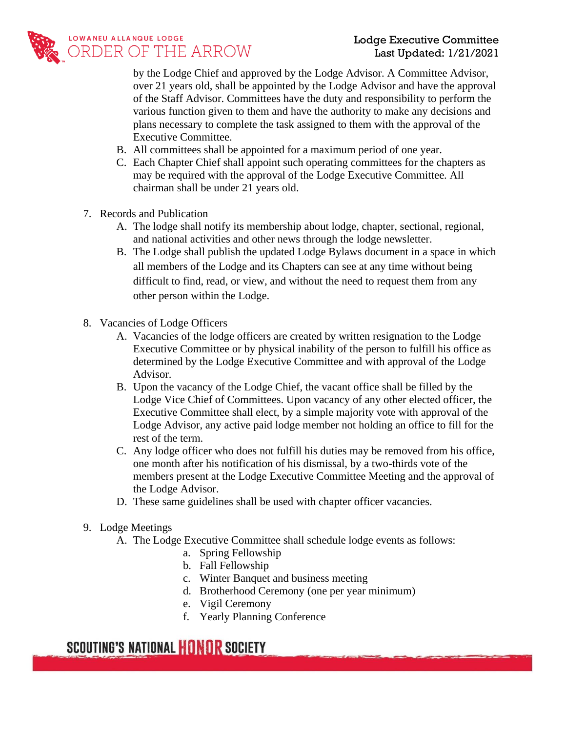

by the Lodge Chief and approved by the Lodge Advisor. A Committee Advisor, over 21 years old, shall be appointed by the Lodge Advisor and have the approval of the Staff Advisor. Committees have the duty and responsibility to perform the various function given to them and have the authority to make any decisions and plans necessary to complete the task assigned to them with the approval of the Executive Committee.

- B. All committees shall be appointed for a maximum period of one year.
- C. Each Chapter Chief shall appoint such operating committees for the chapters as may be required with the approval of the Lodge Executive Committee. All chairman shall be under 21 years old.
- 7. Records and Publication
	- A. The lodge shall notify its membership about lodge, chapter, sectional, regional, and national activities and other news through the lodge newsletter.
	- B. The Lodge shall publish the updated Lodge Bylaws document in a space in which all members of the Lodge and its Chapters can see at any time without being difficult to find, read, or view, and without the need to request them from any other person within the Lodge.
- 8. Vacancies of Lodge Officers
	- A. Vacancies of the lodge officers are created by written resignation to the Lodge Executive Committee or by physical inability of the person to fulfill his office as determined by the Lodge Executive Committee and with approval of the Lodge Advisor.
	- B. Upon the vacancy of the Lodge Chief, the vacant office shall be filled by the Lodge Vice Chief of Committees. Upon vacancy of any other elected officer, the Executive Committee shall elect, by a simple majority vote with approval of the Lodge Advisor, any active paid lodge member not holding an office to fill for the rest of the term.
	- C. Any lodge officer who does not fulfill his duties may be removed from his office, one month after his notification of his dismissal, by a two-thirds vote of the members present at the Lodge Executive Committee Meeting and the approval of the Lodge Advisor.
	- D. These same guidelines shall be used with chapter officer vacancies.
- 9. Lodge Meetings
	- A. The Lodge Executive Committee shall schedule lodge events as follows:
		- a. Spring Fellowship
		- b. Fall Fellowship
		- c. Winter Banquet and business meeting
		- d. Brotherhood Ceremony (one per year minimum)
		- e. Vigil Ceremony
		- f. Yearly Planning Conference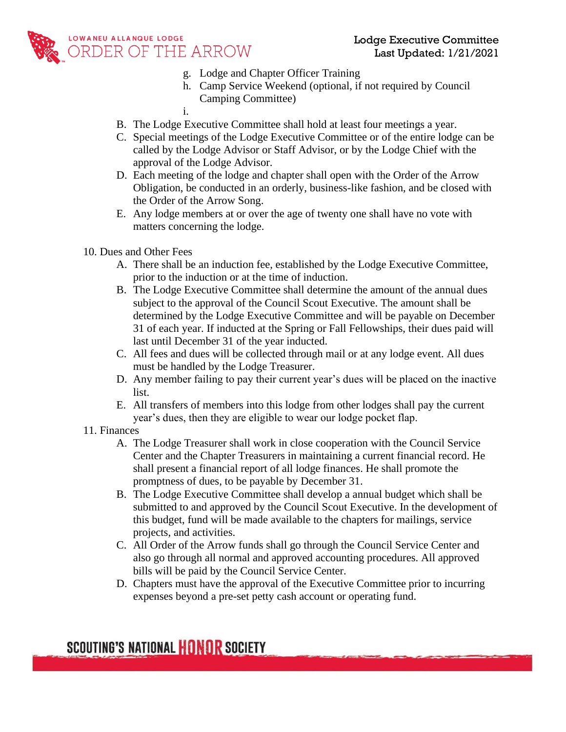

- g. Lodge and Chapter Officer Training
- h. Camp Service Weekend (optional, if not required by Council Camping Committee)
- i.
- B. The Lodge Executive Committee shall hold at least four meetings a year.
- C. Special meetings of the Lodge Executive Committee or of the entire lodge can be called by the Lodge Advisor or Staff Advisor, or by the Lodge Chief with the approval of the Lodge Advisor.
- D. Each meeting of the lodge and chapter shall open with the Order of the Arrow Obligation, be conducted in an orderly, business-like fashion, and be closed with the Order of the Arrow Song.
- E. Any lodge members at or over the age of twenty one shall have no vote with matters concerning the lodge.
- 10. Dues and Other Fees
	- A. There shall be an induction fee, established by the Lodge Executive Committee, prior to the induction or at the time of induction.
	- B. The Lodge Executive Committee shall determine the amount of the annual dues subject to the approval of the Council Scout Executive. The amount shall be determined by the Lodge Executive Committee and will be payable on December 31 of each year. If inducted at the Spring or Fall Fellowships, their dues paid will last until December 31 of the year inducted.
	- C. All fees and dues will be collected through mail or at any lodge event. All dues must be handled by the Lodge Treasurer.
	- D. Any member failing to pay their current year's dues will be placed on the inactive list.
	- E. All transfers of members into this lodge from other lodges shall pay the current year's dues, then they are eligible to wear our lodge pocket flap.
- 11. Finances
	- A. The Lodge Treasurer shall work in close cooperation with the Council Service Center and the Chapter Treasurers in maintaining a current financial record. He shall present a financial report of all lodge finances. He shall promote the promptness of dues, to be payable by December 31.
	- B. The Lodge Executive Committee shall develop a annual budget which shall be submitted to and approved by the Council Scout Executive. In the development of this budget, fund will be made available to the chapters for mailings, service projects, and activities.
	- C. All Order of the Arrow funds shall go through the Council Service Center and also go through all normal and approved accounting procedures. All approved bills will be paid by the Council Service Center.
	- D. Chapters must have the approval of the Executive Committee prior to incurring expenses beyond a pre-set petty cash account or operating fund.